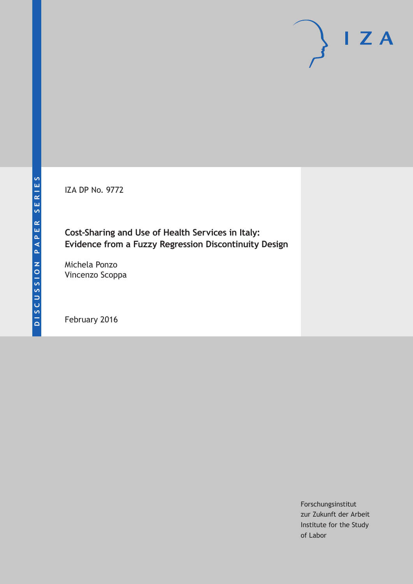IZA DP No. 9772

# **Cost-Sharing and Use of Health Services in Italy: Evidence from a Fuzzy Regression Discontinuity Design**

Michela Ponzo Vincenzo Scoppa

February 2016

Forschungsinstitut zur Zukunft der Arbeit Institute for the Study of Labor

 $I Z A$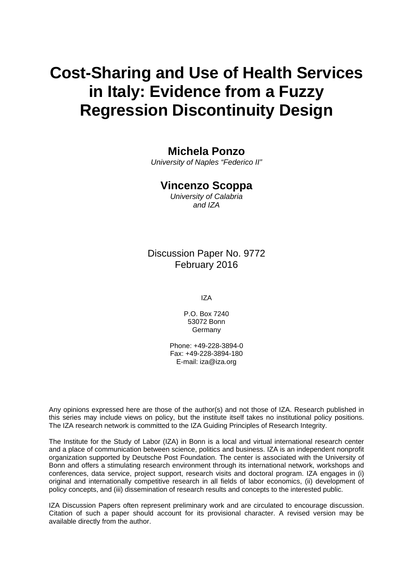# **Cost-Sharing and Use of Health Services in Italy: Evidence from a Fuzzy Regression Discontinuity Design**

# **Michela Ponzo**

*University of Naples "Federico II"* 

# **Vincenzo Scoppa**

*University of Calabria and IZA* 

# Discussion Paper No. 9772 February 2016

IZA

P.O. Box 7240 53072 Bonn **Germany** 

Phone: +49-228-3894-0 Fax: +49-228-3894-180 E-mail: iza@iza.org

Any opinions expressed here are those of the author(s) and not those of IZA. Research published in this series may include views on policy, but the institute itself takes no institutional policy positions. The IZA research network is committed to the IZA Guiding Principles of Research Integrity.

The Institute for the Study of Labor (IZA) in Bonn is a local and virtual international research center and a place of communication between science, politics and business. IZA is an independent nonprofit organization supported by Deutsche Post Foundation. The center is associated with the University of Bonn and offers a stimulating research environment through its international network, workshops and conferences, data service, project support, research visits and doctoral program. IZA engages in (i) original and internationally competitive research in all fields of labor economics, (ii) development of policy concepts, and (iii) dissemination of research results and concepts to the interested public.

IZA Discussion Papers often represent preliminary work and are circulated to encourage discussion. Citation of such a paper should account for its provisional character. A revised version may be available directly from the author.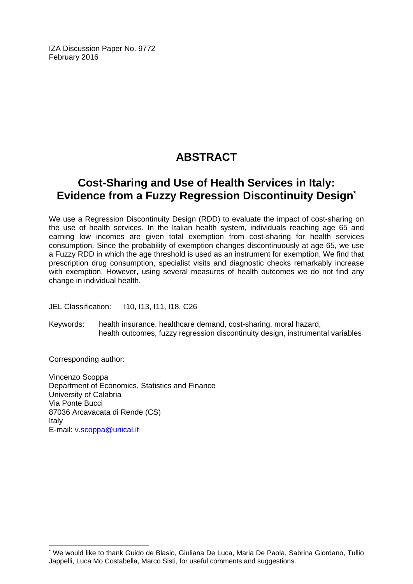IZA Discussion Paper No. 9772 February 2016

# **ABSTRACT**

# **Cost-Sharing and Use of Health Services in Italy: Evidence from a Fuzzy Regression Discontinuity Design\***

We use a Regression Discontinuity Design (RDD) to evaluate the impact of cost-sharing on the use of health services. In the Italian health system, individuals reaching age 65 and earning low incomes are given total exemption from cost-sharing for health services consumption. Since the probability of exemption changes discontinuously at age 65, we use a Fuzzy RDD in which the age threshold is used as an instrument for exemption. We find that prescription drug consumption, specialist visits and diagnostic checks remarkably increase with exemption. However, using several measures of health outcomes we do not find any change in individual health.

JEL Classification: I10, I13, I11, I18, C26

Keywords: health insurance, healthcare demand, cost-sharing, moral hazard, health outcomes, fuzzy regression discontinuity design, instrumental variables

Corresponding author:

 $\overline{\phantom{a}}$ 

Vincenzo Scoppa Department of Economics, Statistics and Finance University of Calabria Via Ponte Bucci 87036 Arcavacata di Rende (CS) Italy E-mail: v.scoppa@unical.it

<sup>\*</sup> We would like to thank Guido de Blasio, Giuliana De Luca, Maria De Paola, Sabrina Giordano, Tullio Jappelli, Luca Mo Costabella, Marco Sisti, for useful comments and suggestions.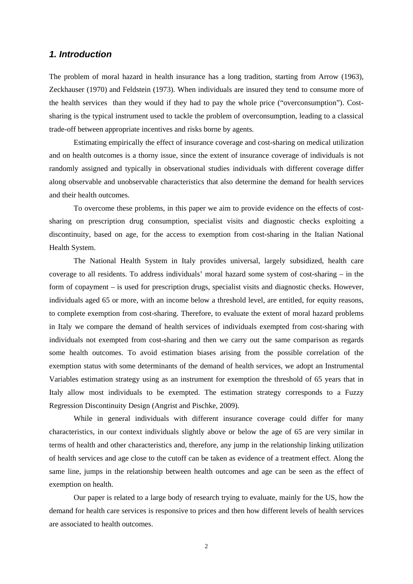### *1. Introduction*

The problem of moral hazard in health insurance has a long tradition, starting from Arrow (1963), Zeckhauser (1970) and Feldstein (1973). When individuals are insured they tend to consume more of the health services than they would if they had to pay the whole price ("overconsumption"). Costsharing is the typical instrument used to tackle the problem of overconsumption, leading to a classical trade-off between appropriate incentives and risks borne by agents.

Estimating empirically the effect of insurance coverage and cost-sharing on medical utilization and on health outcomes is a thorny issue, since the extent of insurance coverage of individuals is not randomly assigned and typically in observational studies individuals with different coverage differ along observable and unobservable characteristics that also determine the demand for health services and their health outcomes.

To overcome these problems, in this paper we aim to provide evidence on the effects of costsharing on prescription drug consumption, specialist visits and diagnostic checks exploiting a discontinuity, based on age, for the access to exemption from cost-sharing in the Italian National Health System.

The National Health System in Italy provides universal, largely subsidized, health care coverage to all residents. To address individuals' moral hazard some system of cost-sharing – in the form of copayment – is used for prescription drugs, specialist visits and diagnostic checks. However, individuals aged 65 or more, with an income below a threshold level, are entitled, for equity reasons, to complete exemption from cost-sharing. Therefore, to evaluate the extent of moral hazard problems in Italy we compare the demand of health services of individuals exempted from cost-sharing with individuals not exempted from cost-sharing and then we carry out the same comparison as regards some health outcomes. To avoid estimation biases arising from the possible correlation of the exemption status with some determinants of the demand of health services, we adopt an Instrumental Variables estimation strategy using as an instrument for exemption the threshold of 65 years that in Italy allow most individuals to be exempted. The estimation strategy corresponds to a Fuzzy Regression Discontinuity Design (Angrist and Pischke, 2009).

While in general individuals with different insurance coverage could differ for many characteristics, in our context individuals slightly above or below the age of 65 are very similar in terms of health and other characteristics and, therefore, any jump in the relationship linking utilization of health services and age close to the cutoff can be taken as evidence of a treatment effect. Along the same line, jumps in the relationship between health outcomes and age can be seen as the effect of exemption on health.

Our paper is related to a large body of research trying to evaluate, mainly for the US, how the demand for health care services is responsive to prices and then how different levels of health services are associated to health outcomes.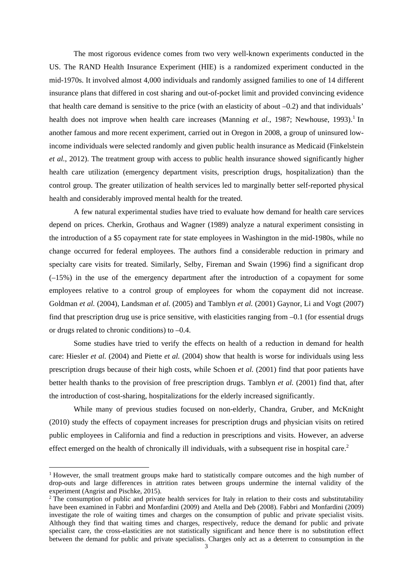The most rigorous evidence comes from two very well-known experiments conducted in the US. The RAND Health Insurance Experiment (HIE) is a randomized experiment conducted in the mid-1970s. It involved almost 4,000 individuals and randomly assigned families to one of 14 different insurance plans that differed in cost sharing and out-of-pocket limit and provided convincing evidence that health care demand is sensitive to the price (with an elasticity of about –0.2) and that individuals' health does not improve when health care increases (Manning *et al.*, 1987; Newhouse, 1993).<sup>1</sup> In another famous and more recent experiment, carried out in Oregon in 2008, a group of uninsured lowincome individuals were selected randomly and given public health insurance as Medicaid (Finkelstein *et al.*, 2012). The treatment group with access to public health insurance showed significantly higher health care utilization (emergency department visits, prescription drugs, hospitalization) than the control group. The greater utilization of health services led to marginally better self-reported physical health and considerably improved mental health for the treated.

A few natural experimental studies have tried to evaluate how demand for health care services depend on prices. Cherkin, Grothaus and Wagner (1989) analyze a natural experiment consisting in the introduction of a \$5 copayment rate for state employees in Washington in the mid-1980s, while no change occurred for federal employees. The authors find a considerable reduction in primary and specialty care visits for treated. Similarly, Selby, Fireman and Swain (1996) find a significant drop (–15%) in the use of the emergency department after the introduction of a copayment for some employees relative to a control group of employees for whom the copayment did not increase. Goldman *et al.* (2004), Landsman *et al.* (2005) and Tamblyn *et al.* (2001) Gaynor, Li and Vogt (2007) find that prescription drug use is price sensitive, with elasticities ranging from –0.1 (for essential drugs or drugs related to chronic conditions) to –0.4.

Some studies have tried to verify the effects on health of a reduction in demand for health care: Hiesler *et al.* (2004) and Piette *et al.* (2004) show that health is worse for individuals using less prescription drugs because of their high costs, while Schoen *et al.* (2001) find that poor patients have better health thanks to the provision of free prescription drugs. Tamblyn *et al.* (2001) find that, after the introduction of cost-sharing, hospitalizations for the elderly increased significantly.

While many of previous studies focused on non-elderly, Chandra, Gruber, and McKnight (2010) study the effects of copayment increases for prescription drugs and physician visits on retired public employees in California and find a reduction in prescriptions and visits. However, an adverse effect emerged on the health of chronically ill individuals, with a subsequent rise in hospital care.<sup>2</sup>

<sup>&</sup>lt;sup>1</sup> However, the small treatment groups make hard to statistically compare outcomes and the high number of drop-outs and large differences in attrition rates between groups undermine the internal validity of the experiment (Angrist and Pischke, 2015).

<sup>&</sup>lt;sup>2</sup> The consumption of public and private health services for Italy in relation to their costs and substitutability have been examined in Fabbri and Monfardini (2009) and Atella and Deb (2008). Fabbri and Monfardini (2009) investigate the role of waiting times and charges on the consumption of public and private specialist visits. Although they find that waiting times and charges, respectively, reduce the demand for public and private specialist care, the cross-elasticities are not statistically significant and hence there is no substitution effect between the demand for public and private specialists. Charges only act as a deterrent to consumption in the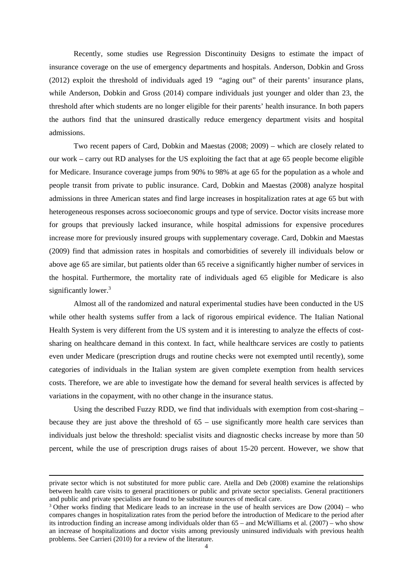Recently, some studies use Regression Discontinuity Designs to estimate the impact of insurance coverage on the use of emergency departments and hospitals. Anderson, Dobkin and Gross (2012) exploit the threshold of individuals aged 19 "aging out" of their parents' insurance plans, while Anderson, Dobkin and Gross (2014) compare individuals just younger and older than 23, the threshold after which students are no longer eligible for their parents' health insurance. In both papers the authors find that the uninsured drastically reduce emergency department visits and hospital admissions.

Two recent papers of Card, Dobkin and Maestas (2008; 2009) – which are closely related to our work – carry out RD analyses for the US exploiting the fact that at age 65 people become eligible for Medicare. Insurance coverage jumps from 90% to 98% at age 65 for the population as a whole and people transit from private to public insurance. Card, Dobkin and Maestas (2008) analyze hospital admissions in three American states and find large increases in hospitalization rates at age 65 but with heterogeneous responses across socioeconomic groups and type of service. Doctor visits increase more for groups that previously lacked insurance, while hospital admissions for expensive procedures increase more for previously insured groups with supplementary coverage. Card, Dobkin and Maestas (2009) find that admission rates in hospitals and comorbidities of severely ill individuals below or above age 65 are similar, but patients older than 65 receive a significantly higher number of services in the hospital. Furthermore, the mortality rate of individuals aged 65 eligible for Medicare is also significantly lower.<sup>3</sup>

Almost all of the randomized and natural experimental studies have been conducted in the US while other health systems suffer from a lack of rigorous empirical evidence. The Italian National Health System is very different from the US system and it is interesting to analyze the effects of costsharing on healthcare demand in this context. In fact, while healthcare services are costly to patients even under Medicare (prescription drugs and routine checks were not exempted until recently), some categories of individuals in the Italian system are given complete exemption from health services costs. Therefore, we are able to investigate how the demand for several health services is affected by variations in the copayment, with no other change in the insurance status.

Using the described Fuzzy RDD, we find that individuals with exemption from cost-sharing  $$ because they are just above the threshold of 65 – use significantly more health care services than individuals just below the threshold: specialist visits and diagnostic checks increase by more than 50 percent, while the use of prescription drugs raises of about 15-20 percent. However, we show that

<u> 1989 - Johann Stoff, amerikansk politiker (d. 1989)</u>

private sector which is not substituted for more public care. Atella and Deb (2008) examine the relationships between health care visits to general practitioners or public and private sector specialists. General practitioners and public and private specialists are found to be substitute sources of medical care.

<sup>&</sup>lt;sup>3</sup> Other works finding that Medicare leads to an increase in the use of health services are Dow  $(2004)$  – who compares changes in hospitalization rates from the period before the introduction of Medicare to the period after its introduction finding an increase among individuals older than 65 – and McWilliams et al. (2007) – who show an increase of hospitalizations and doctor visits among previously uninsured individuals with previous health problems. See Carrieri (2010) for a review of the literature.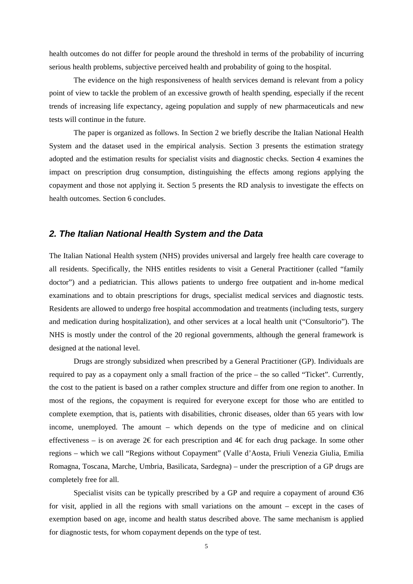health outcomes do not differ for people around the threshold in terms of the probability of incurring serious health problems, subjective perceived health and probability of going to the hospital.

The evidence on the high responsiveness of health services demand is relevant from a policy point of view to tackle the problem of an excessive growth of health spending, especially if the recent trends of increasing life expectancy, ageing population and supply of new pharmaceuticals and new tests will continue in the future.

The paper is organized as follows. In Section 2 we briefly describe the Italian National Health System and the dataset used in the empirical analysis. Section 3 presents the estimation strategy adopted and the estimation results for specialist visits and diagnostic checks. Section 4 examines the impact on prescription drug consumption, distinguishing the effects among regions applying the copayment and those not applying it. Section 5 presents the RD analysis to investigate the effects on health outcomes. Section 6 concludes.

### *2. The Italian National Health System and the Data*

The Italian National Health system (NHS) provides universal and largely free health care coverage to all residents. Specifically, the NHS entitles residents to visit a General Practitioner (called "family doctor") and a pediatrician. This allows patients to undergo free outpatient and in-home medical examinations and to obtain prescriptions for drugs, specialist medical services and diagnostic tests. Residents are allowed to undergo free hospital accommodation and treatments (including tests, surgery and medication during hospitalization), and other services at a local health unit ("Consultorio"). The NHS is mostly under the control of the 20 regional governments, although the general framework is designed at the national level.

Drugs are strongly subsidized when prescribed by a General Practitioner (GP). Individuals are required to pay as a copayment only a small fraction of the price – the so called "Ticket". Currently, the cost to the patient is based on a rather complex structure and differ from one region to another. In most of the regions, the copayment is required for everyone except for those who are entitled to complete exemption, that is, patients with disabilities, chronic diseases, older than 65 years with low income, unemployed. The amount – which depends on the type of medicine and on clinical effectiveness – is on average  $2 \in \text{for each prescription and } 4 \in \text{for each drug package. In some other}$ regions – which we call "Regions without Copayment" (Valle d'Aosta, Friuli Venezia Giulia, Emilia Romagna, Toscana, Marche, Umbria, Basilicata, Sardegna) – under the prescription of a GP drugs are completely free for all.

Specialist visits can be typically prescribed by a GP and require a copayment of around  $\epsilon$ 36 for visit, applied in all the regions with small variations on the amount – except in the cases of exemption based on age, income and health status described above. The same mechanism is applied for diagnostic tests, for whom copayment depends on the type of test.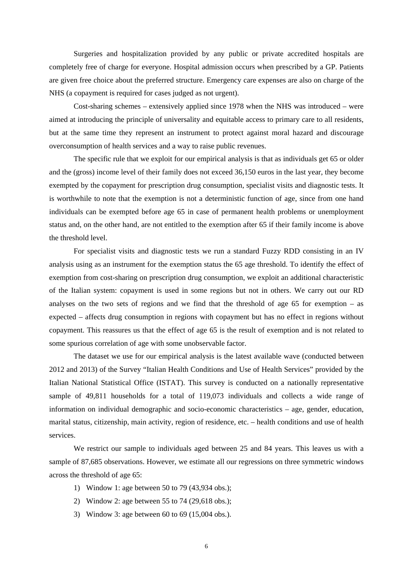Surgeries and hospitalization provided by any public or private accredited hospitals are completely free of charge for everyone. Hospital admission occurs when prescribed by a GP. Patients are given free choice about the preferred structure. Emergency care expenses are also on charge of the NHS (a copayment is required for cases judged as not urgent).

Cost-sharing schemes – extensively applied since 1978 when the NHS was introduced – were aimed at introducing the principle of universality and equitable access to primary care to all residents, but at the same time they represent an instrument to protect against moral hazard and discourage overconsumption of health services and a way to raise public revenues.

The specific rule that we exploit for our empirical analysis is that as individuals get 65 or older and the (gross) income level of their family does not exceed 36,150 euros in the last year, they become exempted by the copayment for prescription drug consumption, specialist visits and diagnostic tests. It is worthwhile to note that the exemption is not a deterministic function of age, since from one hand individuals can be exempted before age 65 in case of permanent health problems or unemployment status and, on the other hand, are not entitled to the exemption after 65 if their family income is above the threshold level.

For specialist visits and diagnostic tests we run a standard Fuzzy RDD consisting in an IV analysis using as an instrument for the exemption status the 65 age threshold. To identify the effect of exemption from cost-sharing on prescription drug consumption, we exploit an additional characteristic of the Italian system: copayment is used in some regions but not in others. We carry out our RD analyses on the two sets of regions and we find that the threshold of age  $65$  for exemption – as expected – affects drug consumption in regions with copayment but has no effect in regions without copayment. This reassures us that the effect of age 65 is the result of exemption and is not related to some spurious correlation of age with some unobservable factor.

The dataset we use for our empirical analysis is the latest available wave (conducted between 2012 and 2013) of the Survey "Italian Health Conditions and Use of Health Services" provided by the Italian National Statistical Office (ISTAT). This survey is conducted on a nationally representative sample of 49,811 households for a total of 119,073 individuals and collects a wide range of information on individual demographic and socio-economic characteristics – age, gender, education, marital status, citizenship, main activity, region of residence, etc. – health conditions and use of health services.

We restrict our sample to individuals aged between 25 and 84 years. This leaves us with a sample of 87,685 observations. However, we estimate all our regressions on three symmetric windows across the threshold of age 65:

- 1) Window 1: age between 50 to 79 (43,934 obs.);
- 2) Window 2: age between 55 to 74 (29,618 obs.);
- 3) Window 3: age between 60 to 69 (15,004 obs.).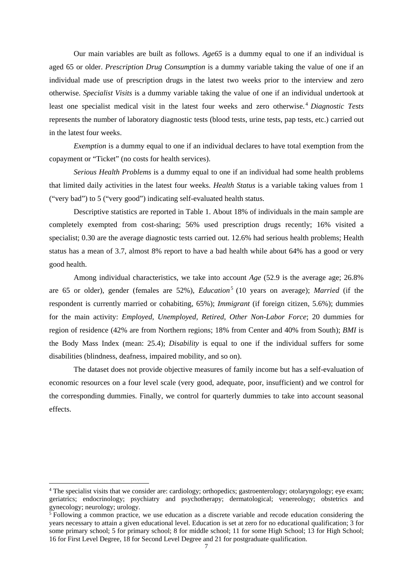Our main variables are built as follows. *Age65* is a dummy equal to one if an individual is aged 65 or older. *Prescription Drug Consumption* is a dummy variable taking the value of one if an individual made use of prescription drugs in the latest two weeks prior to the interview and zero otherwise. *Specialist Visits* is a dummy variable taking the value of one if an individual undertook at least one specialist medical visit in the latest four weeks and zero otherwise. <sup>4</sup> *Diagnostic Tests*  represents the number of laboratory diagnostic tests (blood tests, urine tests, pap tests, etc.) carried out in the latest four weeks.

*Exemption* is a dummy equal to one if an individual declares to have total exemption from the copayment or "Ticket" (no costs for health services).

*Serious Health Problems* is a dummy equal to one if an individual had some health problems that limited daily activities in the latest four weeks. *Health Status* is a variable taking values from 1 ("very bad") to 5 ("very good") indicating self-evaluated health status.

Descriptive statistics are reported in Table 1. About 18% of individuals in the main sample are completely exempted from cost-sharing; 56% used prescription drugs recently; 16% visited a specialist; 0.30 are the average diagnostic tests carried out. 12.6% had serious health problems; Health status has a mean of 3.7, almost 8% report to have a bad health while about 64% has a good or very good health.

Among individual characteristics, we take into account *Age* (52.9 is the average age; 26.8% are 65 or older), gender (females are 52%), *Education*<sup>5</sup> (10 years on average); *Married* (if the respondent is currently married or cohabiting, 65%); *Immigrant* (if foreign citizen, 5.6%); dummies for the main activity: *Employed*, *Unemployed*, *Retired*, *Other Non-Labor Force*; 20 dummies for region of residence (42% are from Northern regions; 18% from Center and 40% from South); *BMI* is the Body Mass Index (mean: 25.4); *Disability* is equal to one if the individual suffers for some disabilities (blindness, deafness, impaired mobility, and so on).

The dataset does not provide objective measures of family income but has a self-evaluation of economic resources on a four level scale (very good, adequate, poor, insufficient) and we control for the corresponding dummies. Finally, we control for quarterly dummies to take into account seasonal effects.

<sup>&</sup>lt;sup>4</sup> The specialist visits that we consider are: cardiology; orthopedics; gastroenterology; otolaryngology; eye exam; geriatrics; endocrinology; psychiatry and psychotherapy; dermatological; venereology; obstetrics and gynecology; neurology; urology.

<sup>&</sup>lt;sup>5</sup> Following a common practice, we use education as a discrete variable and recode education considering the years necessary to attain a given educational level. Education is set at zero for no educational qualification; 3 for some primary school; 5 for primary school; 8 for middle school; 11 for some High School; 13 for High School; 16 for First Level Degree, 18 for Second Level Degree and 21 for postgraduate qualification.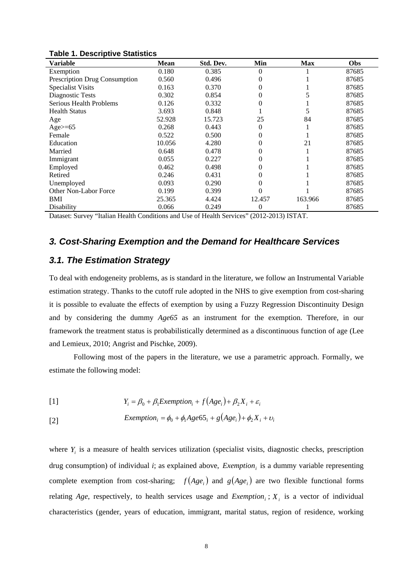| Variable                      | <b>Mean</b> | Std. Dev. | Min      | <b>Max</b> | <b>Obs</b> |
|-------------------------------|-------------|-----------|----------|------------|------------|
| Exemption                     | 0.180       | 0.385     | $\theta$ |            | 87685      |
| Prescription Drug Consumption | 0.560       | 0.496     | $\theta$ |            | 87685      |
| <b>Specialist Visits</b>      | 0.163       | 0.370     | $\theta$ |            | 87685      |
| Diagnostic Tests              | 0.302       | 0.854     | 0        |            | 87685      |
| Serious Health Problems       | 0.126       | 0.332     | 0        |            | 87685      |
| <b>Health Status</b>          | 3.693       | 0.848     |          |            | 87685      |
| Age                           | 52.928      | 15.723    | 25       | 84         | 87685      |
| Age $>= 65$                   | 0.268       | 0.443     | $\theta$ |            | 87685      |
| Female                        | 0.522       | 0.500     | $\theta$ |            | 87685      |
| Education                     | 10.056      | 4.280     | $\theta$ | 21         | 87685      |
| Married                       | 0.648       | 0.478     | 0        |            | 87685      |
| Immigrant                     | 0.055       | 0.227     | $\theta$ |            | 87685      |
| Employed                      | 0.462       | 0.498     | 0        |            | 87685      |
| Retired                       | 0.246       | 0.431     | 0        |            | 87685      |
| Unemployed                    | 0.093       | 0.290     | 0        |            | 87685      |
| Other Non-Labor Force         | 0.199       | 0.399     |          |            | 87685      |
| BMI                           | 25.365      | 4.424     | 12.457   | 163.966    | 87685      |
| Disability                    | 0.066       | 0.249     | $\theta$ |            | 87685      |

#### **Table 1. Descriptive Statistics**

Dataset: Survey "Italian Health Conditions and Use of Health Services" (2012-2013) ISTAT.

# *3. Cost-Sharing Exemption and the Demand for Healthcare Services*

### *3.1. The Estimation Strategy*

To deal with endogeneity problems, as is standard in the literature, we follow an Instrumental Variable estimation strategy. Thanks to the cutoff rule adopted in the NHS to give exemption from cost-sharing it is possible to evaluate the effects of exemption by using a Fuzzy Regression Discontinuity Design and by considering the dummy *Age65* as an instrument for the exemption. Therefore, in our framework the treatment status is probabilistically determined as a discontinuous function of age (Lee and Lemieux, 2010; Angrist and Pischke, 2009).

Following most of the papers in the literature, we use a parametric approach. Formally, we estimate the following model:

[1] 
$$
Y_i = \beta_0 + \beta_1 Exemption_i + f(Age_i) + \beta_2 X_i + \varepsilon_i
$$

$$
[2] \quad \text{Exemption}_i = \phi_0 + \phi_1 Age65_i + g(Age_i) + \phi_2 X_i + \upsilon_i
$$

where  $Y_i$  is a measure of health services utilization (specialist visits, diagnostic checks, prescription drug consumption) of individual *i*; as explained above, *Exemption*<sub>i</sub> is a dummy variable representing complete exemption from cost-sharing;  $f(Age_i)$  and  $g(Age_i)$  are two flexible functional forms relating *Age*, respectively, to health services usage and *Exemption*<sub>*i*</sub>;  $X_i$  is a vector of individual characteristics (gender, years of education, immigrant, marital status, region of residence, working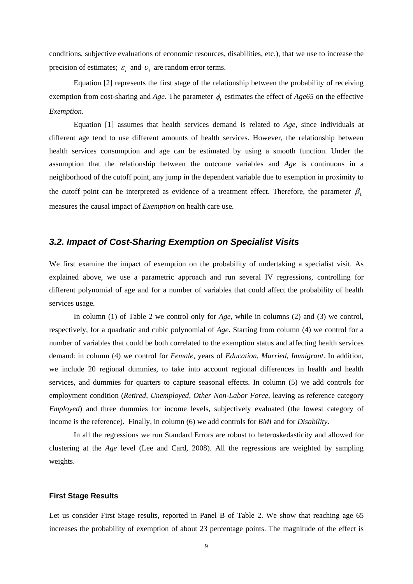conditions, subjective evaluations of economic resources, disabilities, etc.), that we use to increase the precision of estimates;  $\varepsilon_i$  and  $v_i$  are random error terms.

Equation [2] represents the first stage of the relationship between the probability of receiving exemption from cost-sharing and *Age*. The parameter  $\phi_1$  estimates the effect of *Age65* on the effective *Exemption*.

Equation [1] assumes that health services demand is related to *Age*, since individuals at different age tend to use different amounts of health services. However, the relationship between health services consumption and age can be estimated by using a smooth function. Under the assumption that the relationship between the outcome variables and *Age* is continuous in a neighborhood of the cutoff point, any jump in the dependent variable due to exemption in proximity to the cutoff point can be interpreted as evidence of a treatment effect. Therefore, the parameter  $\beta_1$ measures the causal impact of *Exemption* on health care use.

## *3.2. Impact of Cost-Sharing Exemption on Specialist Visits*

We first examine the impact of exemption on the probability of undertaking a specialist visit. As explained above, we use a parametric approach and run several IV regressions, controlling for different polynomial of age and for a number of variables that could affect the probability of health services usage.

 In column (1) of Table 2 we control only for *Age*, while in columns (2) and (3) we control, respectively, for a quadratic and cubic polynomial of *Age*. Starting from column (4) we control for a number of variables that could be both correlated to the exemption status and affecting health services demand: in column (4) we control for *Female*, years of *Education*, *Married*, *Immigrant*. In addition, we include 20 regional dummies, to take into account regional differences in health and health services, and dummies for quarters to capture seasonal effects. In column (5) we add controls for employment condition (*Retired*, *Unemployed*, *Other Non-Labor Force*, leaving as reference category *Employed*) and three dummies for income levels, subjectively evaluated (the lowest category of income is the reference). Finally, in column (6) we add controls for *BMI* and for *Disability*.

 In all the regressions we run Standard Errors are robust to heteroskedasticity and allowed for clustering at the *Age* level (Lee and Card, 2008). All the regressions are weighted by sampling weights.

#### **First Stage Results**

Let us consider First Stage results, reported in Panel B of Table 2. We show that reaching age 65 increases the probability of exemption of about 23 percentage points. The magnitude of the effect is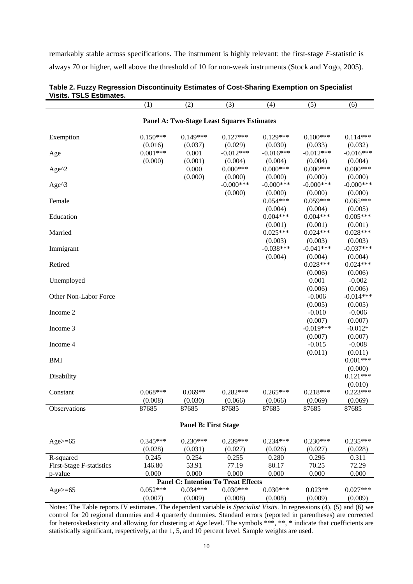remarkably stable across specifications. The instrument is highly relevant: the first-stage *F*-statistic is always 70 or higher, well above the threshold of 10 for non-weak instruments (Stock and Yogo, 2005).

|                       | (1)        | (2)        | (3)                                               | (4)          | (5)         | (6)                   |
|-----------------------|------------|------------|---------------------------------------------------|--------------|-------------|-----------------------|
|                       |            |            | <b>Panel A: Two-Stage Least Squares Estimates</b> |              |             |                       |
| Exemption             | $0.150***$ | $0.149***$ | $0.127***$                                        | $0.129***$   | $0.100***$  | $0.114***$            |
|                       | (0.016)    | (0.037)    | (0.029)                                           | (0.030)      | (0.033)     | (0.032)               |
| Age                   | $0.001***$ | 0.001      | $-0.012***$                                       | $-0.016***$  | $-0.012***$ | $-0.016***$           |
|                       | (0.000)    | (0.001)    | (0.004)                                           | (0.004)      | (0.004)     | (0.004)               |
| Age $^{\wedge}2$      |            | 0.000      | $0.000***$                                        | $0.000***$   | $0.000***$  | $0.000***$            |
|                       |            | (0.000)    | (0.000)                                           | (0.000)      | (0.000)     | (0.000)               |
| Age $^{\wedge}3$      |            |            | $-0.000***$                                       | $-0.000$ *** | $-0.000***$ | $-0.000***$           |
|                       |            |            | (0.000)                                           | (0.000)      | (0.000)     | (0.000)               |
| Female                |            |            |                                                   | $0.054***$   | $0.059***$  | $0.065***$            |
|                       |            |            |                                                   | (0.004)      | (0.004)     | (0.005)               |
| Education             |            |            |                                                   | $0.004***$   | $0.004***$  | $0.005***$            |
|                       |            |            |                                                   | (0.001)      | (0.001)     | (0.001)               |
| Married               |            |            |                                                   | $0.025***$   | $0.024***$  | $0.028***$            |
|                       |            |            |                                                   | (0.003)      | (0.003)     | (0.003)               |
| Immigrant             |            |            |                                                   | $-0.038***$  | $-0.041***$ | $-0.037***$           |
|                       |            |            |                                                   | (0.004)      | (0.004)     | (0.004)               |
| Retired               |            |            |                                                   |              | $0.028***$  | $0.024***$            |
|                       |            |            |                                                   |              | (0.006)     | (0.006)               |
| Unemployed            |            |            |                                                   |              | 0.001       | $-0.002$              |
|                       |            |            |                                                   |              | (0.006)     | (0.006)               |
| Other Non-Labor Force |            |            |                                                   |              | $-0.006$    | $-0.014***$           |
|                       |            |            |                                                   |              | (0.005)     | (0.005)               |
| Income 2              |            |            |                                                   |              | $-0.010$    | $-0.006$              |
|                       |            |            |                                                   |              | (0.007)     | (0.007)               |
| Income 3              |            |            |                                                   |              | $-0.019***$ | $-0.012*$             |
|                       |            |            |                                                   |              | (0.007)     | (0.007)               |
| Income 4              |            |            |                                                   |              | $-0.015$    | $-0.008$              |
|                       |            |            |                                                   |              | (0.011)     | (0.011)               |
| <b>BMI</b>            |            |            |                                                   |              |             | $0.001***$            |
|                       |            |            |                                                   |              |             | (0.000)<br>$0.121***$ |
| Disability            |            |            |                                                   |              |             |                       |
|                       | $0.068***$ | $0.069**$  | $0.282***$                                        | $0.265***$   | $0.218***$  | (0.010)<br>$0.223***$ |
| Constant              | (0.008)    | (0.030)    |                                                   | (0.066)      | (0.069)     | (0.069)               |
|                       | 87685      | 87685      | (0.066)<br>87685                                  | 87685        | 87685       | 87685                 |
| Observations          |            |            |                                                   |              |             |                       |

#### **Table 2. Fuzzy Regression Discontinuity Estimates of Cost-Sharing Exemption on Specialist Visits. TSLS Estimates.**

#### **Panel B: First Stage**

| Age $>= 65$                                | $0.345***$ | $0.230***$ | $0.239***$ | $0.234***$ | $0.230***$ | $0.235***$ |  |  |  |
|--------------------------------------------|------------|------------|------------|------------|------------|------------|--|--|--|
|                                            | (0.028)    | (0.031)    | (0.027)    | (0.026)    | (0.027)    | (0.028)    |  |  |  |
| R-squared                                  | 0.245      | 0.254      | 0.255      | 0.280      | 0.296      | 0.311      |  |  |  |
| First-Stage F-statistics                   | 146.80     | 53.91      | 77.19      | 80.17      | 70.25      | 72.29      |  |  |  |
| p-value                                    | 0.000      | 0.000      | 0.000      | 0.000      | 0.000      | 0.000      |  |  |  |
| <b>Panel C: Intention To Treat Effects</b> |            |            |            |            |            |            |  |  |  |
| Age $>= 65$                                | $0.052***$ | $0.034***$ | $0.030***$ | $0.030***$ | $0.023**$  | $0.027***$ |  |  |  |
|                                            | (0.007)    | (0.009)    | (0.008)    | (0.008)    | (0.009)    | (0.009)    |  |  |  |

Notes: The Table reports IV estimates. The dependent variable is *Specialist Visits*. In regressions (4), (5) and (6) we control for 20 regional dummies and 4 quarterly dummies. Standard errors (reported in parentheses) are corrected for heteroskedasticity and allowing for clustering at *Age* level. The symbols \*\*, \*\*, \* indicate that coefficients are statistically significant, respectively, at the 1, 5, and 10 percent level. Sample weights are used.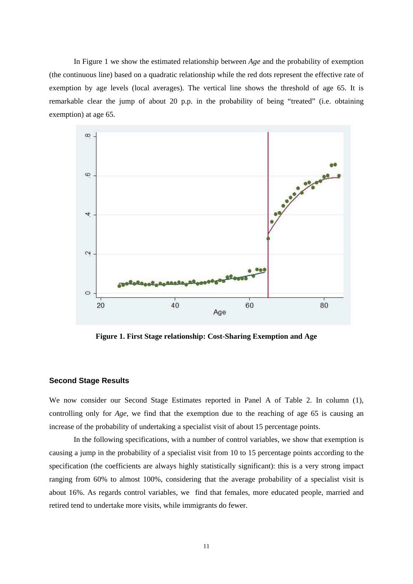In Figure 1 we show the estimated relationship between *Age* and the probability of exemption (the continuous line) based on a quadratic relationship while the red dots represent the effective rate of exemption by age levels (local averages). The vertical line shows the threshold of age 65. It is remarkable clear the jump of about 20 p.p. in the probability of being "treated" (i.e. obtaining exemption) at age 65.



**Figure 1. First Stage relationship: Cost-Sharing Exemption and Age** 

#### **Second Stage Results**

We now consider our Second Stage Estimates reported in Panel A of Table 2. In column (1), controlling only for *Age*, we find that the exemption due to the reaching of age 65 is causing an increase of the probability of undertaking a specialist visit of about 15 percentage points.

In the following specifications, with a number of control variables, we show that exemption is causing a jump in the probability of a specialist visit from 10 to 15 percentage points according to the specification (the coefficients are always highly statistically significant): this is a very strong impact ranging from 60% to almost 100%, considering that the average probability of a specialist visit is about 16%. As regards control variables, we find that females, more educated people, married and retired tend to undertake more visits, while immigrants do fewer.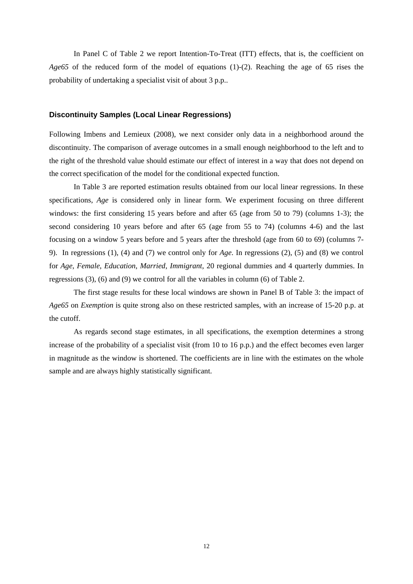In Panel C of Table 2 we report Intention-To-Treat (ITT) effects, that is, the coefficient on *Age65* of the reduced form of the model of equations (1)-(2). Reaching the age of 65 rises the probability of undertaking a specialist visit of about 3 p.p..

#### **Discontinuity Samples (Local Linear Regressions)**

Following Imbens and Lemieux (2008), we next consider only data in a neighborhood around the discontinuity. The comparison of average outcomes in a small enough neighborhood to the left and to the right of the threshold value should estimate our effect of interest in a way that does not depend on the correct specification of the model for the conditional expected function.

In Table 3 are reported estimation results obtained from our local linear regressions. In these specifications, *Age* is considered only in linear form. We experiment focusing on three different windows: the first considering 15 years before and after 65 (age from 50 to 79) (columns 1-3); the second considering 10 years before and after 65 (age from 55 to 74) (columns 4-6) and the last focusing on a window 5 years before and 5 years after the threshold (age from 60 to 69) (columns 7- 9). In regressions (1), (4) and (7) we control only for *Age*. In regressions (2), (5) and (8) we control for *Age*, *Female*, *Education*, *Married*, *Immigrant*, 20 regional dummies and 4 quarterly dummies. In regressions (3), (6) and (9) we control for all the variables in column (6) of Table 2.

The first stage results for these local windows are shown in Panel B of Table 3: the impact of *Age65* on *Exemption* is quite strong also on these restricted samples, with an increase of 15-20 p.p. at the cutoff.

As regards second stage estimates, in all specifications, the exemption determines a strong increase of the probability of a specialist visit (from 10 to 16 p.p.) and the effect becomes even larger in magnitude as the window is shortened. The coefficients are in line with the estimates on the whole sample and are always highly statistically significant.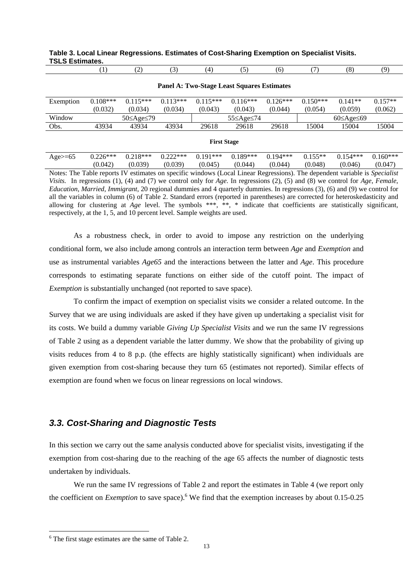|                                                   | (1)                                                                                                                               | (2)                     | (3)        | (4)                | (5)        | (6)        | (7)                     | (8)        | (9)        |
|---------------------------------------------------|-----------------------------------------------------------------------------------------------------------------------------------|-------------------------|------------|--------------------|------------|------------|-------------------------|------------|------------|
|                                                   |                                                                                                                                   |                         |            |                    |            |            |                         |            |            |
| <b>Panel A: Two-Stage Least Squares Estimates</b> |                                                                                                                                   |                         |            |                    |            |            |                         |            |            |
| Exemption                                         | $0.108***$                                                                                                                        | $0.115***$              | $0.113***$ | $0.115***$         | $0.116***$ | $0.126***$ | $0.150***$              | $0.141**$  | $0.157**$  |
|                                                   | (0.032)                                                                                                                           | (0.034)                 | (0.034)    | (0.043)            | (0.043)    | (0.044)    | (0.054)                 | (0.059)    | (0.062)    |
| Window                                            |                                                                                                                                   | $50 \leq$ Age $\leq$ 79 |            |                    | 55≤Age≤74  |            | $60 \leq$ Age $\leq 69$ |            |            |
| Obs.                                              | 43934                                                                                                                             | 43934                   | 43934      | 29618              | 29618      | 29618      | 15004                   | 15004      | 15004      |
|                                                   |                                                                                                                                   |                         |            |                    |            |            |                         |            |            |
|                                                   |                                                                                                                                   |                         |            | <b>First Stage</b> |            |            |                         |            |            |
| Age $>= 65$                                       | $0.226***$                                                                                                                        | $0.218***$              | $0.222***$ | $0.191***$         | $0.189***$ | $0.194***$ | $0.155**$               | $0.154***$ | $0.160***$ |
|                                                   | (0.042)                                                                                                                           | (0.039)                 | (0.039)    | (0.045)            | (0.044)    | (0.044)    | (0.048)                 | (0.046)    | (0.047)    |
|                                                   | Notes: The Table reports IV estimates on specific windows (Local Linear Regressions). The dependent variable is Specialist        |                         |            |                    |            |            |                         |            |            |
|                                                   | Visits. In regressions (1), (4) and (7) we control only for Age. In regressions (2), (5) and (8) we control for Age, Female,      |                         |            |                    |            |            |                         |            |            |
|                                                   | <i>Education, Married, Immigrant, 20</i> regional dummies and 4 quarterly dummies. In regressions (3), (6) and (9) we control for |                         |            |                    |            |            |                         |            |            |
|                                                   | all the variables in column (6) of Table 2. Standard errors (reported in parentheses) are corrected for heteroskedasticity and    |                         |            |                    |            |            |                         |            |            |

allowing for clustering at *Age* level. The symbols \*\*\*, \*\*, \* indicate that coefficients are statistically significant,

#### **Table 3. Local Linear Regressions. Estimates of Cost-Sharing Exemption on Specialist Visits. TSLS Estimates.**

As a robustness check, in order to avoid to impose any restriction on the underlying conditional form, we also include among controls an interaction term between *Age* and *Exemption* and use as instrumental variables *Age65* and the interactions between the latter and *Age*. This procedure corresponds to estimating separate functions on either side of the cutoff point. The impact of *Exemption* is substantially unchanged (not reported to save space).

To confirm the impact of exemption on specialist visits we consider a related outcome. In the Survey that we are using individuals are asked if they have given up undertaking a specialist visit for its costs. We build a dummy variable *Giving Up Specialist Visits* and we run the same IV regressions of Table 2 using as a dependent variable the latter dummy. We show that the probability of giving up visits reduces from 4 to 8 p.p. (the effects are highly statistically significant) when individuals are given exemption from cost-sharing because they turn 65 (estimates not reported). Similar effects of exemption are found when we focus on linear regressions on local windows.

# *3.3. Cost-Sharing and Diagnostic Tests*

respectively, at the 1, 5, and 10 percent level. Sample weights are used.

In this section we carry out the same analysis conducted above for specialist visits, investigating if the exemption from cost-sharing due to the reaching of the age 65 affects the number of diagnostic tests undertaken by individuals.

We run the same IV regressions of Table 2 and report the estimates in Table 4 (we report only the coefficient on *Exemption* to save space).<sup>6</sup> We find that the exemption increases by about 0.15-0.25

<sup>6</sup> The first stage estimates are the same of Table 2.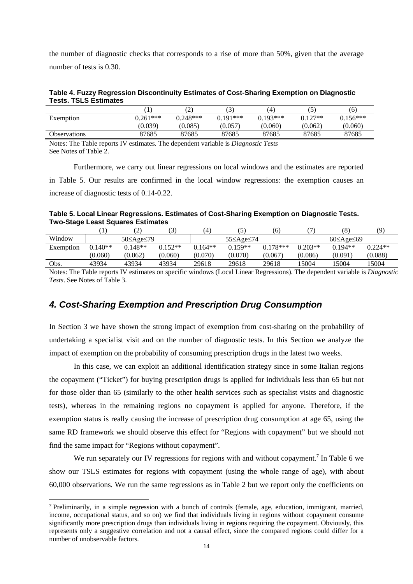the number of diagnostic checks that corresponds to a rise of more than 50%, given that the average number of tests is 0.30.

**Table 4. Fuzzy Regression Discontinuity Estimates of Cost-Sharing Exemption on Diagnostic Tests. TSLS Estimates** 

|                     |            | ົ<br>∠     | $\sim$<br>$\mathcal{L}$ | (4`                      |           | (6)        |
|---------------------|------------|------------|-------------------------|--------------------------|-----------|------------|
| Exemption           | $0.261***$ | $0.248***$ | $0.191***$              | $0.193***$               | $0.127**$ | $0.156***$ |
|                     | (0.039)    | (0.085)    | (0.057                  | (0.060)                  | (0.062)   | (0.060)    |
| <b>Observations</b> | 87685      | 87685      | 87685                   | 87685                    | 87685     | 87685      |
| $\mathbf{r}$<br>$-$ |            |            | .                       | $\overline{\phantom{a}}$ |           |            |

Notes: The Table reports IV estimates. The dependent variable is *Diagnostic Tests* See Notes of Table 2.

Furthermore, we carry out linear regressions on local windows and the estimates are reported in Table 5. Our results are confirmed in the local window regressions: the exemption causes an increase of diagnostic tests of 0.14-0.22.

**Table 5. Local Linear Regressions. Estimates of Cost-Sharing Exemption on Diagnostic Tests. Two-Stage Least Squares Estimates** 

|            |           | $\overline{\phantom{0}}$ |           | $^{\prime}$ 4) |                      | (6)        |           | (8)                     | (9)       |
|------------|-----------|--------------------------|-----------|----------------|----------------------|------------|-----------|-------------------------|-----------|
| Window     |           | 50≤Age≤79                |           |                | 55≤Age≤74            |            |           | $60 \leq$ Age $\leq 69$ |           |
| Exemption  | $0.140**$ | $0.148**$                | $0.152**$ | $0.164**$      | $0.159**$            | $0.178***$ | $0.203**$ | $0.194**$               | $0.224**$ |
|            | (0.060)   | (0.062)                  | (0.060)   | (0.070)        | (0.070)              | (0.067)    | (0.086)   | (0.091)                 | (0.088)   |
| Obs.       | 43934     | 43934                    | 43934     | 29618          | 29618                | 29618      | 15004     | 5004                    | 15004     |
| - -<br>$-$ | __        | -- -                     | $ -$      | .              | $\sim$ $\sim$ $\sim$ |            | $-$       | .                       | $ -$      |

Notes: The Table reports IV estimates on specific windows (Local Linear Regressions). The dependent variable is *Diagnostic Tests*. See Notes of Table 3.

# *4. Cost-Sharing Exemption and Prescription Drug Consumption*

In Section 3 we have shown the strong impact of exemption from cost-sharing on the probability of undertaking a specialist visit and on the number of diagnostic tests. In this Section we analyze the impact of exemption on the probability of consuming prescription drugs in the latest two weeks.

In this case, we can exploit an additional identification strategy since in some Italian regions the copayment ("Ticket") for buying prescription drugs is applied for individuals less than 65 but not for those older than 65 (similarly to the other health services such as specialist visits and diagnostic tests), whereas in the remaining regions no copayment is applied for anyone. Therefore, if the exemption status is really causing the increase of prescription drug consumption at age 65, using the same RD framework we should observe this effect for "Regions with copayment" but we should not find the same impact for "Regions without copayment".

We run separately our IV regressions for regions with and without copayment.<sup>7</sup> In Table 6 we show our TSLS estimates for regions with copayment (using the whole range of age), with about 60,000 observations. We run the same regressions as in Table 2 but we report only the coefficients on

<sup>7</sup> Preliminarily, in a simple regression with a bunch of controls (female, age, education, immigrant, married, income, occupational status, and so on) we find that individuals living in regions without copayment consume significantly more prescription drugs than individuals living in regions requiring the copayment. Obviously, this represents only a suggestive correlation and not a causal effect, since the compared regions could differ for a number of unobservable factors.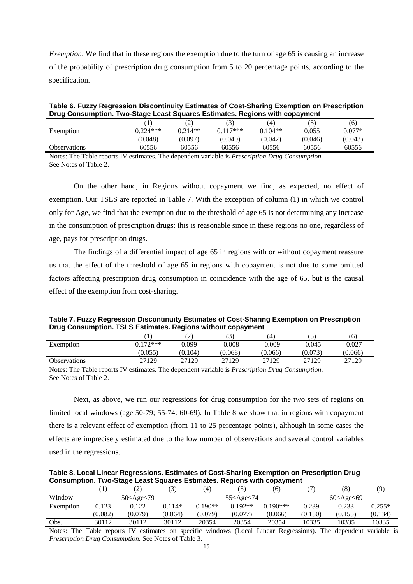*Exemption*. We find that in these regions the exemption due to the turn of age 65 is causing an increase of the probability of prescription drug consumption from 5 to 20 percentage points, according to the specification.

**Table 6. Fuzzy Regression Discontinuity Estimates of Cost-Sharing Exemption on Prescription Drug Consumption. Two-Stage Least Squares Estimates. Regions with copayment** 

| . .          |            |                   |             | .                  |         |          |
|--------------|------------|-------------------|-------------|--------------------|---------|----------|
|              |            | $\sqrt{2}$<br>. پ | ◡           | (4)                | ς       | (6)      |
| Exemption    | $0.224***$ | $0.214**$         | $117***$    | $0.104**$          | 0.055   | $0.077*$ |
|              | (0.048)    | (0.097)           | (0.040)     | (0.042)            | (0.046) | (0.043)  |
| Observations | 60556      | 60556             | 60556       | 60556              | 60556   | 60556    |
| $\mathbf{v}$ |            | $\blacksquare$    | .<br>$\sim$ | $\sim$<br>$\cdots$ |         |          |

Notes: The Table reports IV estimates. The dependent variable is *Prescription Drug Consumption*. See Notes of Table 2.

On the other hand, in Regions without copayment we find, as expected, no effect of exemption. Our TSLS are reported in Table 7. With the exception of column (1) in which we control only for Age, we find that the exemption due to the threshold of age 65 is not determining any increase in the consumption of prescription drugs: this is reasonable since in these regions no one, regardless of age, pays for prescription drugs.

The findings of a differential impact of age 65 in regions with or without copayment reassure us that the effect of the threshold of age 65 in regions with copayment is not due to some omitted factors affecting prescription drug consumption in coincidence with the age of 65, but is the causal effect of the exemption from cost-sharing.

**Table 7. Fuzzy Regression Discontinuity Estimates of Cost-Sharing Exemption on Prescription Drug Consumption. TSLS Estimates. Regions without copayment** 

|              |          | $\hat{ }$<br>∠ | ◡        | (4)      |          | (6)                    |
|--------------|----------|----------------|----------|----------|----------|------------------------|
| Exemption    | $172***$ | 0.099          | $-0.008$ | $-0.009$ | $-0.045$ | $-0.027$               |
|              | (0.055)  | (0.104)        | (0.068)  | (0.066)  | (0.073)  | (0.066)                |
| Observations | 27129    | 27129          | 27129    | 27129    | 27129    | 27129<br>$\sim$ $\sim$ |

Notes: The Table reports IV estimates. The dependent variable is *Prescription Drug Consumption*. See Notes of Table 2.

Next, as above, we run our regressions for drug consumption for the two sets of regions on limited local windows (age 50-79; 55-74: 60-69). In Table 8 we show that in regions with copayment there is a relevant effect of exemption (from 11 to 25 percentage points), although in some cases the effects are imprecisely estimated due to the low number of observations and several control variables used in the regressions.

**Table 8. Local Linear Regressions. Estimates of Cost-Sharing Exemption on Prescription Drug Consumption. Two-Stage Least Squares Estimates. Regions with copayment** 

|           |         | $\overline{ }$          |          | $\left( 4\right)$ | 5         | (6)      |         | (8)                     |          |
|-----------|---------|-------------------------|----------|-------------------|-----------|----------|---------|-------------------------|----------|
| Window    |         | $50 \leq$ Age $\leq$ 79 |          |                   | 55≤Age≤74 |          |         | $60 \leq$ Age $\leq 69$ |          |
| Exemption | 0.123   | 0.122                   | $0.114*$ | $0.190**$         | $0.192**$ | $190***$ | 0.239   | 0.233                   | $0.255*$ |
|           | (0.082) | (0.079)                 | (0.064)  | (0.079)           | (0.077)   | (0.066)  | (0.150) | (0.155)                 | (0.134)  |
| Obs.      | 30112   | 30112                   | 30112    | 20354             | 20354     | 20354    | 10335   | 10335                   | 10335    |

Notes: The Table reports IV estimates on specific windows (Local Linear Regressions). The dependent variable is *Prescription Drug Consumption*. See Notes of Table 3.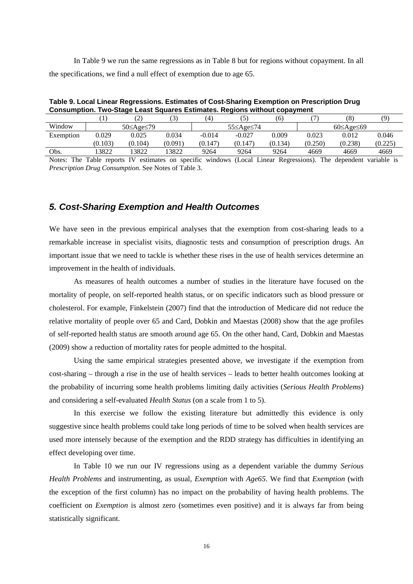In Table 9 we run the same regressions as in Table 8 but for regions without copayment. In all the specifications, we find a null effect of exemption due to age 65.

| <b>Consumption. Two-Stage Least Squares Estimates. Regions without copayment</b> |       |                |       |          |           |       |                         |       |       |
|----------------------------------------------------------------------------------|-------|----------------|-------|----------|-----------|-------|-------------------------|-------|-------|
|                                                                                  |       | $\overline{v}$ |       | 4        |           | (6)   |                         | (8    | (0`   |
| Window                                                                           |       | 50≤Age≤79      |       |          | 55≤Age≤74 |       | $60 \leq$ Age $\leq$ 69 |       |       |
| Exemption                                                                        | 0.029 | 0.025          | 0.034 | $-0.014$ | $-0.027$  | 0.009 | 0.023                   | 0.012 | 0.046 |

**Table 9. Local Linear Regressions. Estimates of Cost-Sharing Exemption on Prescription Drug Consumption. Two-Stage Least Squares Estimates. Regions without copayment** 

Obs. 13822 13822 13822 9264 9264 9264 4669 4669 4669 Notes: The Table reports IV estimates on specific windows (Local Linear Regressions). The dependent variable is *Prescription Drug Consumption*. See Notes of Table 3.

 $(0.103)$   $(0.104)$   $(0.091)$   $(0.147)$   $(0.147)$   $(0.134)$   $(0.250)$   $(0.238)$   $(0.225)$ 

#### *5. Cost-Sharing Exemption and Health Outcomes*

We have seen in the previous empirical analyses that the exemption from cost-sharing leads to a remarkable increase in specialist visits, diagnostic tests and consumption of prescription drugs. An important issue that we need to tackle is whether these rises in the use of health services determine an improvement in the health of individuals.

As measures of health outcomes a number of studies in the literature have focused on the mortality of people, on self-reported health status, or on specific indicators such as blood pressure or cholesterol. For example, Finkelstein (2007) find that the introduction of Medicare did not reduce the relative mortality of people over 65 and Card, Dobkin and Maestas (2008) show that the age profiles of self-reported health status are smooth around age 65. On the other hand, Card, Dobkin and Maestas (2009) show a reduction of mortality rates for people admitted to the hospital.

Using the same empirical strategies presented above, we investigate if the exemption from cost-sharing – through a rise in the use of health services – leads to better health outcomes looking at the probability of incurring some health problems limiting daily activities (*Serious Health Problems*) and considering a self-evaluated *Health Status* (on a scale from 1 to 5).

In this exercise we follow the existing literature but admittedly this evidence is only suggestive since health problems could take long periods of time to be solved when health services are used more intensely because of the exemption and the RDD strategy has difficulties in identifying an effect developing over time.

In Table 10 we run our IV regressions using as a dependent variable the dummy *Serious Health Problems* and instrumenting, as usual, *Exemption* with *Age65*. We find that *Exemption* (with the exception of the first column) has no impact on the probability of having health problems. The coefficient on *Exemption* is almost zero (sometimes even positive) and it is always far from being statistically significant.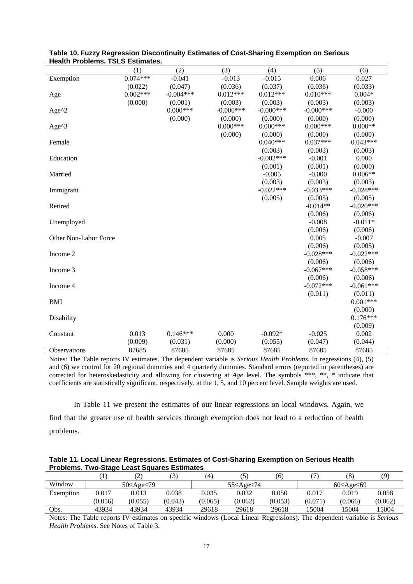|                       | (1)        | (2)         | (3)          | (4)         | (5)          | (6)         |
|-----------------------|------------|-------------|--------------|-------------|--------------|-------------|
| Exemption             | $0.074***$ | $-0.041$    | $-0.013$     | $-0.015$    | 0.006        | 0.027       |
|                       | (0.022)    | (0.047)     | (0.036)      | (0.037)     | (0.036)      | (0.033)     |
| Age                   | $0.002***$ | $-0.004***$ | $0.012***$   | $0.012***$  | $0.010***$   | $0.004*$    |
|                       | (0.000)    | (0.001)     | (0.003)      | (0.003)     | (0.003)      | (0.003)     |
| Age^2                 |            | $0.000***$  | $-0.000$ *** | $-0.000***$ | $-0.000$ *** | $-0.000$    |
|                       |            | (0.000)     | (0.000)      | (0.000)     | (0.000)      | (0.000)     |
| Age^3                 |            |             | $0.000***$   | $0.000***$  | $0.000***$   | $0.000**$   |
|                       |            |             | (0.000)      | (0.000)     | (0.000)      | (0.000)     |
| Female                |            |             |              | $0.040***$  | $0.037***$   | $0.043***$  |
|                       |            |             |              | (0.003)     | (0.003)      | (0.003)     |
| Education             |            |             |              | $-0.002***$ | $-0.001$     | 0.000       |
|                       |            |             |              | (0.001)     | (0.001)      | (0.000)     |
| Married               |            |             |              | $-0.005$    | $-0.000$     | $0.006**$   |
|                       |            |             |              | (0.003)     | (0.003)      | (0.003)     |
| Immigrant             |            |             |              | $-0.022***$ | $-0.033***$  | $-0.028***$ |
|                       |            |             |              | (0.005)     | (0.005)      | (0.005)     |
| Retired               |            |             |              |             | $-0.014**$   | $-0.020***$ |
|                       |            |             |              |             | (0.006)      | (0.006)     |
| Unemployed            |            |             |              |             | $-0.008$     | $-0.011*$   |
|                       |            |             |              |             | (0.006)      | (0.006)     |
| Other Non-Labor Force |            |             |              |             | 0.005        | $-0.007$    |
|                       |            |             |              |             | (0.006)      | (0.005)     |
| Income 2              |            |             |              |             | $-0.028***$  | $-0.022***$ |
|                       |            |             |              |             | (0.006)      | (0.006)     |
| Income 3              |            |             |              |             | $-0.067***$  | $-0.058***$ |
|                       |            |             |              |             | (0.006)      | (0.006)     |
| Income 4              |            |             |              |             | $-0.072***$  | $-0.061***$ |
|                       |            |             |              |             | (0.011)      | (0.011)     |
| <b>BMI</b>            |            |             |              |             |              | $0.001***$  |
|                       |            |             |              |             |              | (0.000)     |
| Disability            |            |             |              |             |              | $0.176***$  |
|                       |            |             |              |             |              | (0.009)     |
| Constant              | 0.013      | $0.146***$  | 0.000        | $-0.092*$   | $-0.025$     | 0.002       |
|                       | (0.009)    | (0.031)     | (0.000)      | (0.055)     | (0.047)      | (0.044)     |
| Observations          | 87685      | 87685       | 87685        | 87685       | 87685        | 87685       |

**Table 10. Fuzzy Regression Discontinuity Estimates of Cost-Sharing Exemption on Serious Health Problems. TSLS Estimates.**

Notes: The Table reports IV estimates. The dependent variable is *Serious Health Problems*. In regressions (4), (5) and (6) we control for 20 regional dummies and 4 quarterly dummies. Standard errors (reported in parentheses) are corrected for heteroskedasticity and allowing for clustering at *Age* level. The symbols \*\*\*, \*\*, \* indicate that coefficients are statistically significant, respectively, at the 1, 5, and 10 percent level. Sample weights are used.

In Table 11 we present the estimates of our linear regressions on local windows. Again, we find that the greater use of health services through exemption does not lead to a reduction of health problems.

| Table 11. Local Linear Regressions. Estimates of Cost-Sharing Exemption on Serious Health |  |
|-------------------------------------------------------------------------------------------|--|
| <b>Problems. Two-Stage Least Squares Estimates</b>                                        |  |

|           |         | $\overline{ }$ |         | $\overline{4}$ |           | (6)     |         | (8)                     | ′Q)     |
|-----------|---------|----------------|---------|----------------|-----------|---------|---------|-------------------------|---------|
| Window    |         | 50≤Age≤79      |         |                | 55≤Age≤74 |         |         | $60 \leq$ Age $\leq 69$ |         |
| Exemption | 0.017   | 0.013          | 0.038   | 0.035          | 0.032     | 0.050   | 0.017   | 0.019                   | 0.058   |
|           | (0.056) | (0.055)        | (0.043) | (0.065)        | (0.062)   | (0.053) | (0.071) | (0.066)                 | (0.062) |
| Obs.      | 43934   | 43934          | 43934   | 29618          | 29618     | 29618   | 15004   | 15004                   | 5004    |

Notes: The Table reports IV estimates on specific windows (Local Linear Regressions). The dependent variable is *Serious Health Problems*. See Notes of Table 3.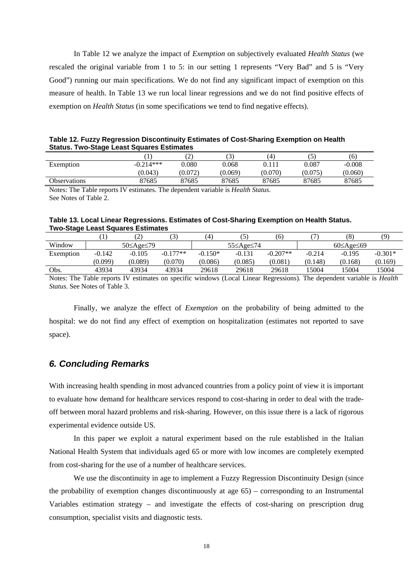In Table 12 we analyze the impact of *Exemption* on subjectively evaluated *Health Status* (we rescaled the original variable from 1 to 5: in our setting 1 represents "Very Bad" and 5 is "Very Good") running our main specifications. We do not find any significant impact of exemption on this measure of health. In Table 13 we run local linear regressions and we do not find positive effects of exemption on *Health Status* (in some specifications we tend to find negative effects).

**Table 12. Fuzzy Regression Discontinuity Estimates of Cost-Sharing Exemption on Health Status. Two-Stage Least Squares Estimates** 

|                     |             | $\curvearrowright$<br>∼ | 3       | (4`     |        | (6)      |
|---------------------|-------------|-------------------------|---------|---------|--------|----------|
| Exemption           | $-0.214***$ | 0.080                   | 9.068   |         | 0.087  | $-0.008$ |
|                     | (0.043)     | (0.072)                 | (0.069) | (0.070) | (0.075 | (0.060)  |
| <b>Observations</b> | 87685       | 87685                   | 87685   | 87685   | 87685  | 87685    |

Notes: The Table reports IV estimates. The dependent variable is *Health Status*. See Notes of Table 2.

#### **Table 13. Local Linear Regressions. Estimates of Cost-Sharing Exemption on Health Status. Two-Stage Least Squares Estimates**

|           |          | ∼                       |            | $\left( 4\right)$ |           | (6)        |          | (8)                     | (Q)       |
|-----------|----------|-------------------------|------------|-------------------|-----------|------------|----------|-------------------------|-----------|
| Window    |          | $50 \leq$ Age $\leq$ 79 |            |                   | 55≤Age≤74 |            |          | $60 \leq$ Age $\leq 69$ |           |
| Exemption | $-0.142$ | -0.105                  | $-0.177**$ | $-0.150*$         | $-0.131$  | $-0.207**$ | $-0.214$ | $-0.195$                | $-0.301*$ |
|           | (0.099)  | (0.089)                 | (0.070)    | (0.086)           | (0.085)   | (0.081)    | (0.148)  | (0.168)                 | (0.169)   |
| Obs.      | 43934    | 43934                   | 43934      | 29618             | 29618     | 29618      | 15004    | .5004                   | 15004     |

Notes: The Table reports IV estimates on specific windows (Local Linear Regressions). The dependent variable is *Health Status*. See Notes of Table 3.

Finally, we analyze the effect of *Exemption* on the probability of being admitted to the hospital: we do not find any effect of exemption on hospitalization (estimates not reported to save space).

# *6. Concluding Remarks*

With increasing health spending in most advanced countries from a policy point of view it is important to evaluate how demand for healthcare services respond to cost-sharing in order to deal with the tradeoff between moral hazard problems and risk-sharing. However, on this issue there is a lack of rigorous experimental evidence outside US.

In this paper we exploit a natural experiment based on the rule established in the Italian National Health System that individuals aged 65 or more with low incomes are completely exempted from cost-sharing for the use of a number of healthcare services.

We use the discontinuity in age to implement a Fuzzy Regression Discontinuity Design (since the probability of exemption changes discontinuously at age 65) – corresponding to an Instrumental Variables estimation strategy – and investigate the effects of cost-sharing on prescription drug consumption, specialist visits and diagnostic tests.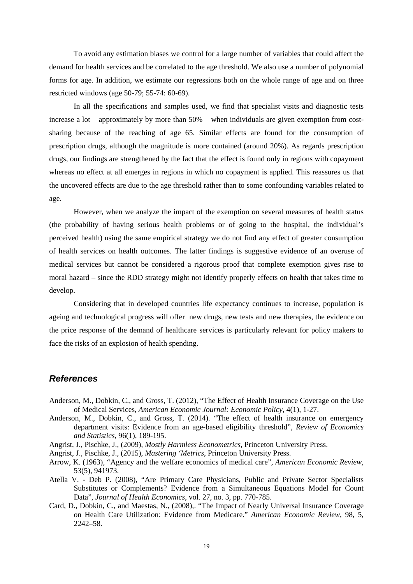To avoid any estimation biases we control for a large number of variables that could affect the demand for health services and be correlated to the age threshold. We also use a number of polynomial forms for age. In addition, we estimate our regressions both on the whole range of age and on three restricted windows (age 50-79; 55-74: 60-69).

In all the specifications and samples used, we find that specialist visits and diagnostic tests increase a lot – approximately by more than 50% – when individuals are given exemption from costsharing because of the reaching of age 65. Similar effects are found for the consumption of prescription drugs, although the magnitude is more contained (around 20%). As regards prescription drugs, our findings are strengthened by the fact that the effect is found only in regions with copayment whereas no effect at all emerges in regions in which no copayment is applied. This reassures us that the uncovered effects are due to the age threshold rather than to some confounding variables related to age.

However, when we analyze the impact of the exemption on several measures of health status (the probability of having serious health problems or of going to the hospital, the individual's perceived health) using the same empirical strategy we do not find any effect of greater consumption of health services on health outcomes. The latter findings is suggestive evidence of an overuse of medical services but cannot be considered a rigorous proof that complete exemption gives rise to moral hazard – since the RDD strategy might not identify properly effects on health that takes time to develop.

Considering that in developed countries life expectancy continues to increase, population is ageing and technological progress will offer new drugs, new tests and new therapies, the evidence on the price response of the demand of healthcare services is particularly relevant for policy makers to face the risks of an explosion of health spending.

### *References*

- Anderson, M., Dobkin, C., and Gross, T. (2012), "The Effect of Health Insurance Coverage on the Use of Medical Services, *American Economic Journal: Economic Policy*, 4(1), 1-27.
- Anderson, M., Dobkin, C., and Gross, T. (2014). "The effect of health insurance on emergency department visits: Evidence from an age-based eligibility threshold", *Review of Economics and Statistics*, 96(1), 189-195.
- Angrist, J., Pischke, J., (2009), *Mostly Harmless Econometrics*, Princeton University Press.
- Angrist, J., Pischke, J., (2015), *Mastering 'Metrics*, Princeton University Press.
- Arrow, K. (1963), "Agency and the welfare economics of medical care", *American Economic Review*, 53(5), 941973.
- Atella V. Deb P. (2008), "Are Primary Care Physicians, Public and Private Sector Specialists Substitutes or Complements? Evidence from a Simultaneous Equations Model for Count Data", *Journal of Health Economics*, vol. 27, no. 3, pp. 770-785.
- Card, D., Dobkin, C., and Maestas, N., (2008),. "The Impact of Nearly Universal Insurance Coverage on Health Care Utilization: Evidence from Medicare." *American Economic Review*, 98, 5, 2242–58.